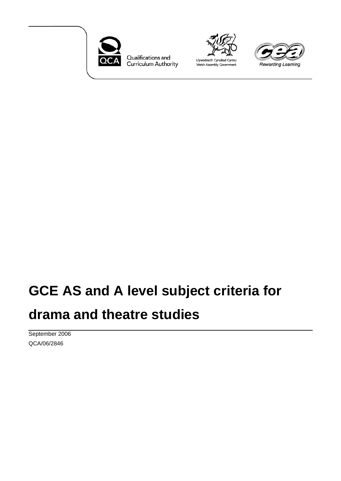

Qualifications and<br>Curriculum Authority





# **GCE AS and A level subject criteria for drama and theatre studies**

September 2006 QCA/06/2846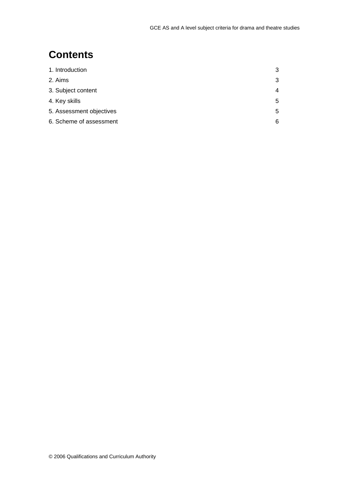#### **Contents**

| 1. Introduction          | 3 |
|--------------------------|---|
| 2. Aims                  | 3 |
| 3. Subject content       | 4 |
| 4. Key skills            | 5 |
| 5. Assessment objectives | 5 |
| 6. Scheme of assessment  | 6 |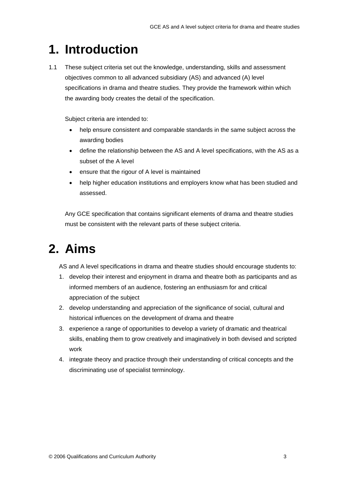### **1. Introduction**

1.1 These subject criteria set out the knowledge, understanding, skills and assessment objectives common to all advanced subsidiary (AS) and advanced (A) level specifications in drama and theatre studies. They provide the framework within which the awarding body creates the detail of the specification.

Subject criteria are intended to:

- help ensure consistent and comparable standards in the same subject across the awarding bodies
- define the relationship between the AS and A level specifications, with the AS as a subset of the A level
- ensure that the rigour of A level is maintained
- help higher education institutions and employers know what has been studied and assessed.

Any GCE specification that contains significant elements of drama and theatre studies must be consistent with the relevant parts of these subject criteria.

## **2. Aims**

AS and A level specifications in drama and theatre studies should encourage students to:

- 1. develop their interest and enjoyment in drama and theatre both as participants and as informed members of an audience, fostering an enthusiasm for and critical appreciation of the subject
- 2. develop understanding and appreciation of the significance of social, cultural and historical influences on the development of drama and theatre
- 3. experience a range of opportunities to develop a variety of dramatic and theatrical skills, enabling them to grow creatively and imaginatively in both devised and scripted work
- 4. integrate theory and practice through their understanding of critical concepts and the discriminating use of specialist terminology.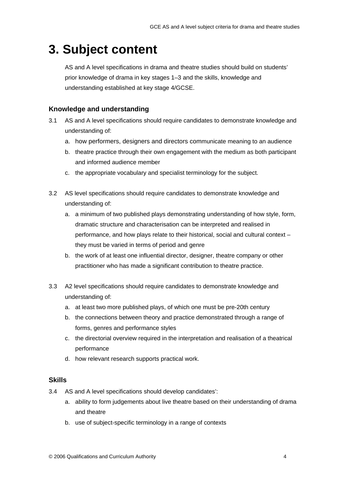### **3. Subject content**

AS and A level specifications in drama and theatre studies should build on students' prior knowledge of drama in key stages 1–3 and the skills, knowledge and understanding established at key stage 4/GCSE.

#### **Knowledge and understanding**

- 3.1 AS and A level specifications should require candidates to demonstrate knowledge and understanding of:
	- a. how performers, designers and directors communicate meaning to an audience
	- b. theatre practice through their own engagement with the medium as both participant and informed audience member
	- c. the appropriate vocabulary and specialist terminology for the subject.
- 3.2 AS level specifications should require candidates to demonstrate knowledge and understanding of:
	- a. a minimum of two published plays demonstrating understanding of how style, form, dramatic structure and characterisation can be interpreted and realised in performance, and how plays relate to their historical, social and cultural context – they must be varied in terms of period and genre
	- b. the work of at least one influential director, designer, theatre company or other practitioner who has made a significant contribution to theatre practice.
- 3.3 A2 level specifications should require candidates to demonstrate knowledge and understanding of:
	- a. at least two more published plays, of which one must be pre-20th century
	- b. the connections between theory and practice demonstrated through a range of forms, genres and performance styles
	- c. the directorial overview required in the interpretation and realisation of a theatrical performance
	- d. how relevant research supports practical work.

#### **Skills**

- 3.4 AS and A level specifications should develop candidates':
	- a. ability to form judgements about live theatre based on their understanding of drama and theatre
	- b. use of subject-specific terminology in a range of contexts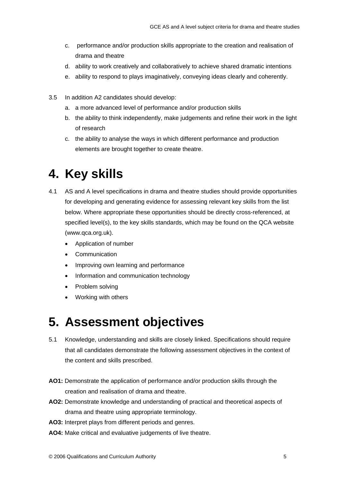- c. performance and/or production skills appropriate to the creation and realisation of drama and theatre
- d. ability to work creatively and collaboratively to achieve shared dramatic intentions
- e. ability to respond to plays imaginatively, conveying ideas clearly and coherently.
- 3.5 In addition A2 candidates should develop:
	- a. a more advanced level of performance and/or production skills
	- b. the ability to think independently, make judgements and refine their work in the light of research
	- c. the ability to analyse the ways in which different performance and production elements are brought together to create theatre.

### **4. Key skills**

- 4.1 AS and A level specifications in drama and theatre studies should provide opportunities for developing and generating evidence for assessing relevant key skills from the list below. Where appropriate these opportunities should be directly cross-referenced, at specified level(s), to the key skills standards, which may be found on the QCA website (www.qca.org.uk).
	- Application of number
	- **Communication**
	- Improving own learning and performance
	- Information and communication technology
	- Problem solving
	- Working with others

### **5. Assessment objectives**

- 5.1 Knowledge, understanding and skills are closely linked. Specifications should require that all candidates demonstrate the following assessment objectives in the context of the content and skills prescribed.
- **AO1:** Demonstrate the application of performance and/or production skills through the creation and realisation of drama and theatre.
- **AO2:** Demonstrate knowledge and understanding of practical and theoretical aspects of drama and theatre using appropriate terminology.
- **AO3:** Interpret plays from different periods and genres.
- **AO4:** Make critical and evaluative judgements of live theatre.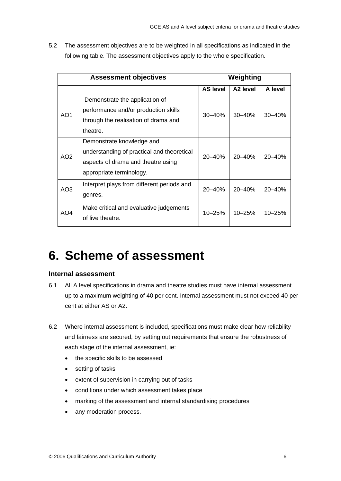5.2 The assessment objectives are to be weighted in all specifications as indicated in the following table. The assessment objectives apply to the whole specification.

| <b>Assessment objectives</b> |                                                                                                                                           | Weighting       |                      |            |
|------------------------------|-------------------------------------------------------------------------------------------------------------------------------------------|-----------------|----------------------|------------|
|                              |                                                                                                                                           | <b>AS level</b> | A <sub>2</sub> level | A level    |
| AO <sub>1</sub>              | Demonstrate the application of<br>performance and/or production skills<br>through the realisation of drama and<br>theatre.                | $30 - 40%$      | $30 - 40%$           | $30 - 40%$ |
| AO <sub>2</sub>              | Demonstrate knowledge and<br>understanding of practical and theoretical<br>aspects of drama and theatre using<br>appropriate terminology. | $20 - 40%$      | $20 - 40%$           | $20 - 40%$ |
| AO <sub>3</sub>              | Interpret plays from different periods and<br>genres.                                                                                     | 20-40%          | 20-40%               | $20 - 40%$ |
| AO4                          | Make critical and evaluative judgements<br>of live theatre.                                                                               | 10-25%          | 10-25%               | $10 - 25%$ |

### **6. Scheme of assessment**

#### **Internal assessment**

- 6.1 All A level specifications in drama and theatre studies must have internal assessment up to a maximum weighting of 40 per cent. Internal assessment must not exceed 40 per cent at either AS or A2.
- 6.2 Where internal assessment is included, specifications must make clear how reliability and fairness are secured, by setting out requirements that ensure the robustness of each stage of the internal assessment, ie:
	- the specific skills to be assessed
	- setting of tasks
	- extent of supervision in carrying out of tasks
	- conditions under which assessment takes place
	- marking of the assessment and internal standardising procedures
	- any moderation process.